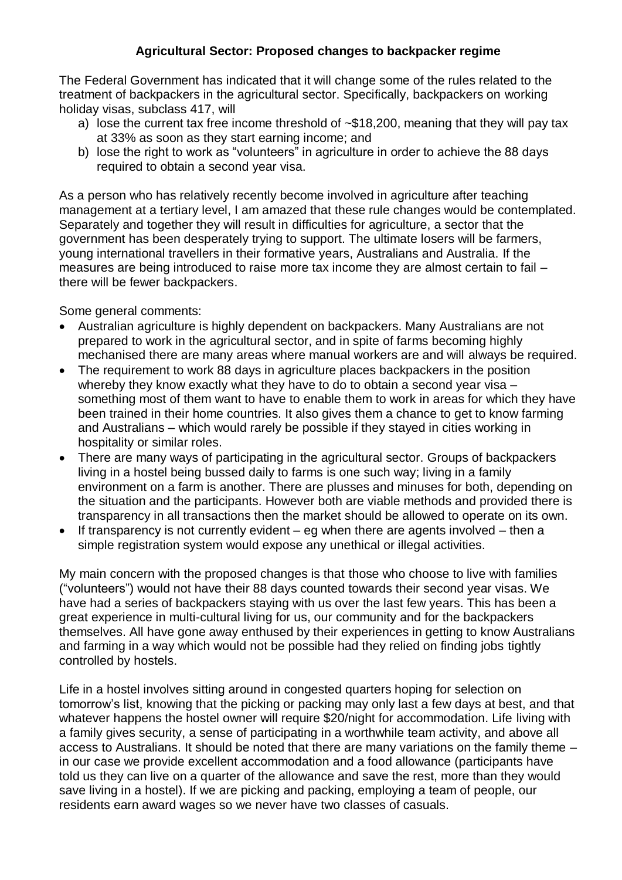## **Agricultural Sector: Proposed changes to backpacker regime**

The Federal Government has indicated that it will change some of the rules related to the treatment of backpackers in the agricultural sector. Specifically, backpackers on working holiday visas, subclass 417, will

- a) lose the current tax free income threshold of ~\$18,200, meaning that they will pay tax at 33% as soon as they start earning income; and
- b) lose the right to work as "volunteers" in agriculture in order to achieve the 88 days required to obtain a second year visa.

As a person who has relatively recently become involved in agriculture after teaching management at a tertiary level, I am amazed that these rule changes would be contemplated. Separately and together they will result in difficulties for agriculture, a sector that the government has been desperately trying to support. The ultimate losers will be farmers, young international travellers in their formative years, Australians and Australia. If the measures are being introduced to raise more tax income they are almost certain to fail – there will be fewer backpackers.

Some general comments:

- Australian agriculture is highly dependent on backpackers. Many Australians are not prepared to work in the agricultural sector, and in spite of farms becoming highly mechanised there are many areas where manual workers are and will always be required.
- The requirement to work 88 days in agriculture places backpackers in the position whereby they know exactly what they have to do to obtain a second year visa – something most of them want to have to enable them to work in areas for which they have been trained in their home countries. It also gives them a chance to get to know farming and Australians – which would rarely be possible if they stayed in cities working in hospitality or similar roles.
- There are many ways of participating in the agricultural sector. Groups of backpackers living in a hostel being bussed daily to farms is one such way; living in a family environment on a farm is another. There are plusses and minuses for both, depending on the situation and the participants. However both are viable methods and provided there is transparency in all transactions then the market should be allowed to operate on its own.
- $\bullet$  If transparency is not currently evident eg when there are agents involved then a simple registration system would expose any unethical or illegal activities.

My main concern with the proposed changes is that those who choose to live with families ("volunteers") would not have their 88 days counted towards their second year visas. We have had a series of backpackers staying with us over the last few years. This has been a great experience in multi-cultural living for us, our community and for the backpackers themselves. All have gone away enthused by their experiences in getting to know Australians and farming in a way which would not be possible had they relied on finding jobs tightly controlled by hostels.

Life in a hostel involves sitting around in congested quarters hoping for selection on tomorrow's list, knowing that the picking or packing may only last a few days at best, and that whatever happens the hostel owner will require \$20/night for accommodation. Life living with a family gives security, a sense of participating in a worthwhile team activity, and above all access to Australians. It should be noted that there are many variations on the family theme – in our case we provide excellent accommodation and a food allowance (participants have told us they can live on a quarter of the allowance and save the rest, more than they would save living in a hostel). If we are picking and packing, employing a team of people, our residents earn award wages so we never have two classes of casuals.